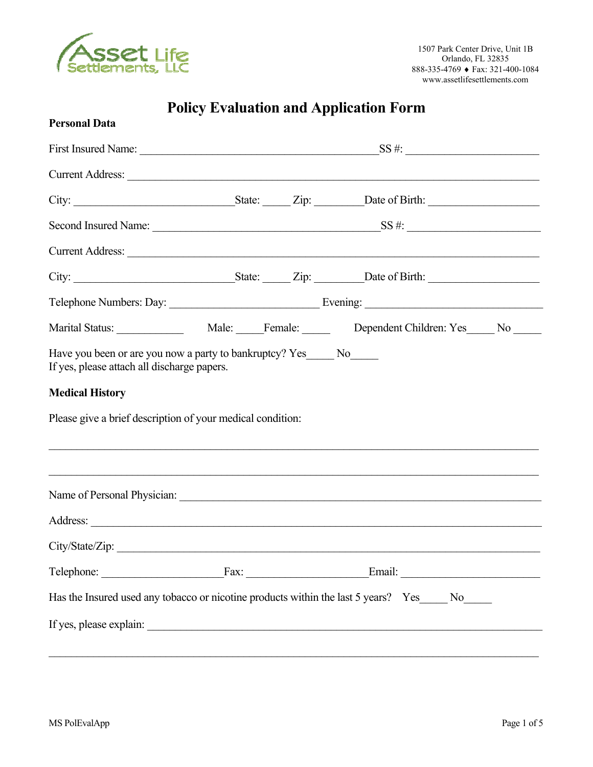

# **Policy Evaluation and Application Form**

| <b>Personal Data</b>                                                                 |  |                                                                                                                                                                       |  |
|--------------------------------------------------------------------------------------|--|-----------------------------------------------------------------------------------------------------------------------------------------------------------------------|--|
|                                                                                      |  |                                                                                                                                                                       |  |
|                                                                                      |  | Current Address: Note and Address and Address and Address and Address and Address and Address and Address and A                                                       |  |
|                                                                                      |  |                                                                                                                                                                       |  |
|                                                                                      |  |                                                                                                                                                                       |  |
|                                                                                      |  | Current Address:                                                                                                                                                      |  |
|                                                                                      |  |                                                                                                                                                                       |  |
|                                                                                      |  |                                                                                                                                                                       |  |
|                                                                                      |  |                                                                                                                                                                       |  |
| <b>Medical History</b><br>Please give a brief description of your medical condition: |  | ,我们也不能在这里的人,我们也不能在这里的人,我们也不能在这里的人,我们也不能在这里的人,我们也不能在这里的人,我们也不能在这里的人,我们也不能在这里的人,我们也<br>,我们也不能在这里的时候,我们也不能在这里的时候,我们也不能不能不能不能不能不能不能不能不能不能不能不能不能不能。""我们的是我们的,我们也不能不能不能不能不能 |  |
|                                                                                      |  |                                                                                                                                                                       |  |
|                                                                                      |  |                                                                                                                                                                       |  |
| City/State/Zip:                                                                      |  |                                                                                                                                                                       |  |
|                                                                                      |  | Telephone: Fax: Fax: Email: Email:                                                                                                                                    |  |
|                                                                                      |  | Has the Insured used any tobacco or nicotine products within the last 5 years? Yes_____ No_____                                                                       |  |
|                                                                                      |  |                                                                                                                                                                       |  |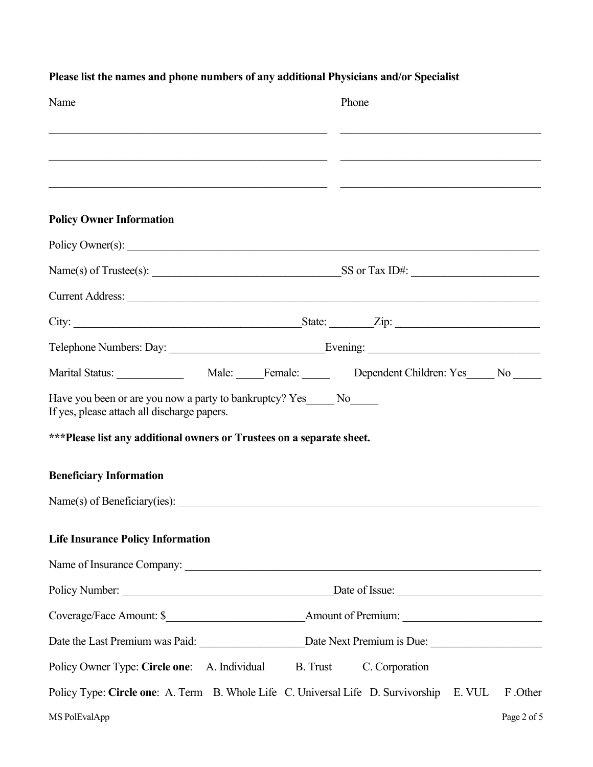| Name                                                                                                                  | Phone                                                                                               |
|-----------------------------------------------------------------------------------------------------------------------|-----------------------------------------------------------------------------------------------------|
|                                                                                                                       |                                                                                                     |
|                                                                                                                       |                                                                                                     |
| <b>Policy Owner Information</b>                                                                                       |                                                                                                     |
|                                                                                                                       | Policy Owner(s):                                                                                    |
|                                                                                                                       |                                                                                                     |
|                                                                                                                       | Current Address:                                                                                    |
|                                                                                                                       |                                                                                                     |
|                                                                                                                       |                                                                                                     |
|                                                                                                                       |                                                                                                     |
| Have you been or are you now a party to bankruptcy? Yes______ No______<br>If yes, please attach all discharge papers. |                                                                                                     |
| ***Please list any additional owners or Trustees on a separate sheet.                                                 |                                                                                                     |
| <b>Beneficiary Information</b>                                                                                        |                                                                                                     |
|                                                                                                                       |                                                                                                     |
| <b>Life Insurance Policy Information</b>                                                                              |                                                                                                     |
|                                                                                                                       |                                                                                                     |
|                                                                                                                       |                                                                                                     |
|                                                                                                                       |                                                                                                     |
|                                                                                                                       |                                                                                                     |
| Policy Owner Type: Circle one: A. Individual                                                                          | B. Trust<br>C. Corporation                                                                          |
|                                                                                                                       | Policy Type: Circle one: A. Term B. Whole Life C. Universal Life D. Survivorship E. VUL<br>F .Other |
| MS PolEvalApp                                                                                                         | Page 2 of 5                                                                                         |

## **Please list the names and phone numbers of any additional Physicians and/or Specialist**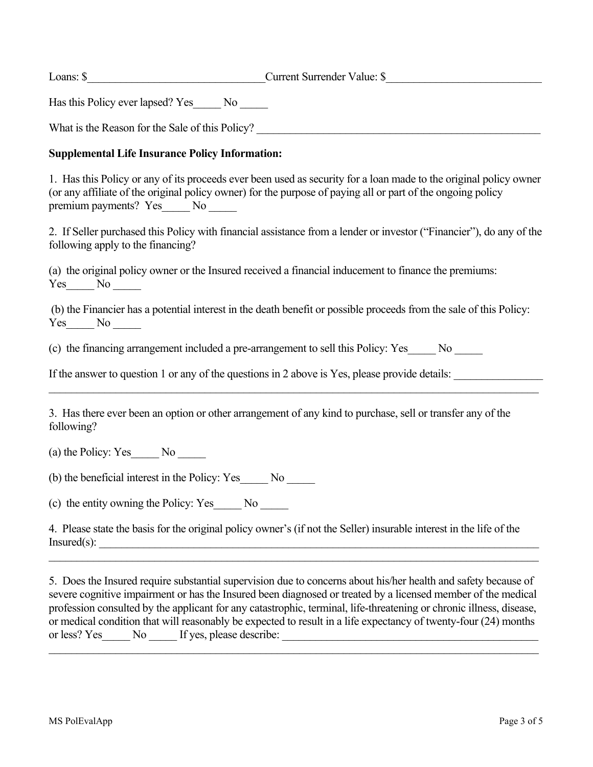Loans: \$\_\_\_\_\_\_\_\_\_\_\_\_\_\_\_\_\_\_\_\_\_\_\_\_\_\_\_\_\_\_\_\_Current Surrender Value: \$\_\_\_\_\_\_\_\_\_\_\_\_\_\_\_\_\_\_\_\_\_\_\_\_\_\_\_\_

Has this Policy ever lapsed? Yes\_\_\_\_\_ No \_\_\_\_\_

What is the Reason for the Sale of this Policy?

#### **Supplemental Life Insurance Policy Information:**

1. Has this Policy or any of its proceeds ever been used as security for a loan made to the original policy owner (or any affiliate of the original policy owner) for the purpose of paying all or part of the ongoing policy premium payments? Yes\_\_\_\_\_ No \_\_\_\_\_

2. If Seller purchased this Policy with financial assistance from a lender or investor ("Financier"), do any of the following apply to the financing?

(a) the original policy owner or the Insured received a financial inducement to finance the premiums: Yes No

(b) the Financier has a potential interest in the death benefit or possible proceeds from the sale of this Policy:  $Yes$  No  $\_\_\_\$ 

(c) the financing arrangement included a pre-arrangement to sell this Policy: Yes\_\_\_\_\_ No \_\_\_\_\_

If the answer to question 1 or any of the questions in 2 above is Yes, please provide details:

 $\_$  , and the contribution of the contribution of the contribution of the contribution of the contribution of  $\mathcal{L}_\text{max}$ 

3. Has there ever been an option or other arrangement of any kind to purchase, sell or transfer any of the following?

(a) the Policy: Yes No

(b) the beneficial interest in the Policy: Yes\_\_\_\_\_ No \_\_\_\_\_

(c) the entity owning the Policy: Yes\_\_\_\_\_ No \_\_\_\_\_

4. Please state the basis for the original policy owner's (if not the Seller) insurable interest in the life of the  $Insured(s):$ 

5. Does the Insured require substantial supervision due to concerns about his/her health and safety because of severe cognitive impairment or has the Insured been diagnosed or treated by a licensed member of the medical profession consulted by the applicant for any catastrophic, terminal, life-threatening or chronic illness, disease, or medical condition that will reasonably be expected to result in a life expectancy of twenty-four (24) months or less? Yes No If yes, please describe:

 $\mathcal{L}_\mathcal{L} = \{ \mathcal{L}_\mathcal{L} = \{ \mathcal{L}_\mathcal{L} = \{ \mathcal{L}_\mathcal{L} = \{ \mathcal{L}_\mathcal{L} = \{ \mathcal{L}_\mathcal{L} = \{ \mathcal{L}_\mathcal{L} = \{ \mathcal{L}_\mathcal{L} = \{ \mathcal{L}_\mathcal{L} = \{ \mathcal{L}_\mathcal{L} = \{ \mathcal{L}_\mathcal{L} = \{ \mathcal{L}_\mathcal{L} = \{ \mathcal{L}_\mathcal{L} = \{ \mathcal{L}_\mathcal{L} = \{ \mathcal{L}_\mathcal{$ 

 $\_$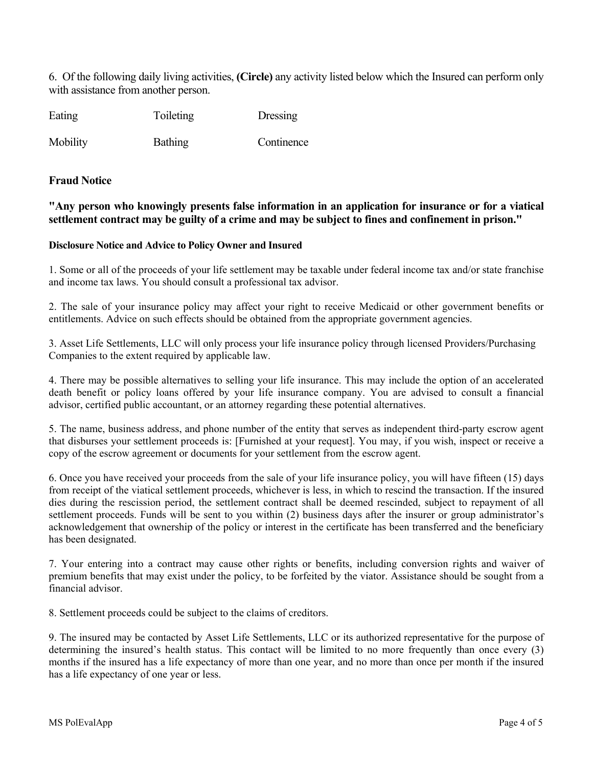6. Of the following daily living activities, **(Circle)** any activity listed below which the Insured can perform only with assistance from another person.

Eating Toileting Dressing

Mobility Bathing Continence

#### **Fraud Notice**

**"Any person who knowingly presents false information in an application for insurance or for a viatical settlement contract may be guilty of a crime and may be subject to fines and confinement in prison."** 

#### **Disclosure Notice and Advice to Policy Owner and Insured**

1. Some or all of the proceeds of your life settlement may be taxable under federal income tax and/or state franchise and income tax laws. You should consult a professional tax advisor.

2. The sale of your insurance policy may affect your right to receive Medicaid or other government benefits or entitlements. Advice on such effects should be obtained from the appropriate government agencies.

3. Asset Life Settlements, LLC will only process your life insurance policy through licensed Providers/Purchasing Companies to the extent required by applicable law.

4. There may be possible alternatives to selling your life insurance. This may include the option of an accelerated death benefit or policy loans offered by your life insurance company. You are advised to consult a financial advisor, certified public accountant, or an attorney regarding these potential alternatives.

5. The name, business address, and phone number of the entity that serves as independent third-party escrow agent that disburses your settlement proceeds is: [Furnished at your request]. You may, if you wish, inspect or receive a copy of the escrow agreement or documents for your settlement from the escrow agent.

6. Once you have received your proceeds from the sale of your life insurance policy, you will have fifteen (15) days from receipt of the viatical settlement proceeds, whichever is less, in which to rescind the transaction. If the insured dies during the rescission period, the settlement contract shall be deemed rescinded, subject to repayment of all settlement proceeds. Funds will be sent to you within (2) business days after the insurer or group administrator's acknowledgement that ownership of the policy or interest in the certificate has been transferred and the beneficiary has been designated.

7. Your entering into a contract may cause other rights or benefits, including conversion rights and waiver of premium benefits that may exist under the policy, to be forfeited by the viator. Assistance should be sought from a financial advisor.

8. Settlement proceeds could be subject to the claims of creditors.

9. The insured may be contacted by Asset Life Settlements, LLC or its authorized representative for the purpose of determining the insured's health status. This contact will be limited to no more frequently than once every (3) months if the insured has a life expectancy of more than one year, and no more than once per month if the insured has a life expectancy of one year or less.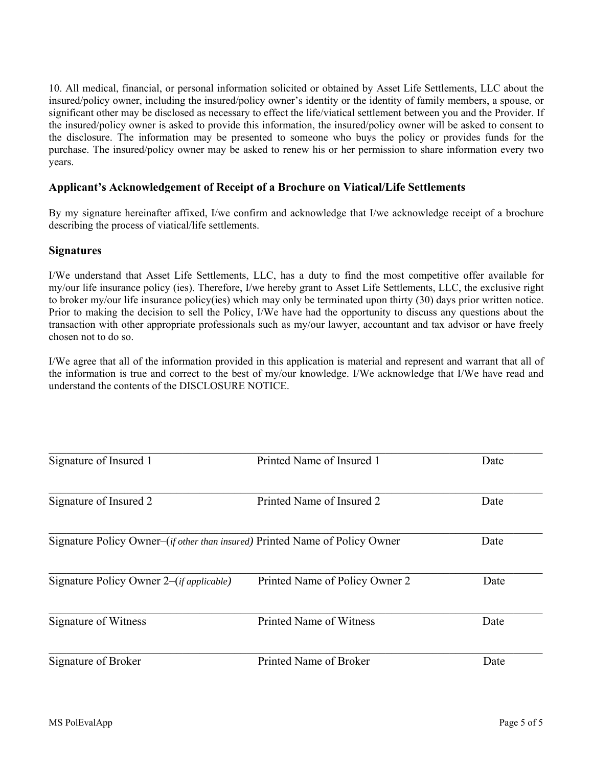10. All medical, financial, or personal information solicited or obtained by Asset Life Settlements, LLC about the insured/policy owner, including the insured/policy owner's identity or the identity of family members, a spouse, or significant other may be disclosed as necessary to effect the life/viatical settlement between you and the Provider. If the insured/policy owner is asked to provide this information, the insured/policy owner will be asked to consent to the disclosure. The information may be presented to someone who buys the policy or provides funds for the purchase. The insured/policy owner may be asked to renew his or her permission to share information every two years.

#### **Applicant's Acknowledgement of Receipt of a Brochure on Viatical/Life Settlements**

By my signature hereinafter affixed, I/we confirm and acknowledge that I/we acknowledge receipt of a brochure describing the process of viatical/life settlements.

#### **Signatures**

I/We understand that Asset Life Settlements, LLC, has a duty to find the most competitive offer available for my/our life insurance policy (ies). Therefore, I/we hereby grant to Asset Life Settlements, LLC, the exclusive right to broker my/our life insurance policy(ies) which may only be terminated upon thirty (30) days prior written notice. Prior to making the decision to sell the Policy, I/We have had the opportunity to discuss any questions about the transaction with other appropriate professionals such as my/our lawyer, accountant and tax advisor or have freely chosen not to do so.

I/We agree that all of the information provided in this application is material and represent and warrant that all of the information is true and correct to the best of my/our knowledge. I/We acknowledge that I/We have read and understand the contents of the DISCLOSURE NOTICE.

| Signature of Insured 1                                                               | Printed Name of Insured 1      | Date |
|--------------------------------------------------------------------------------------|--------------------------------|------|
| Signature of Insured 2                                                               | Printed Name of Insured 2      | Date |
| Signature Policy Owner–( <i>if other than insured</i> ) Printed Name of Policy Owner |                                | Date |
| Signature Policy Owner 2–( <i>if applicable</i> )                                    | Printed Name of Policy Owner 2 | Date |
| Signature of Witness                                                                 | Printed Name of Witness        | Date |
| Signature of Broker                                                                  | Printed Name of Broker         | Date |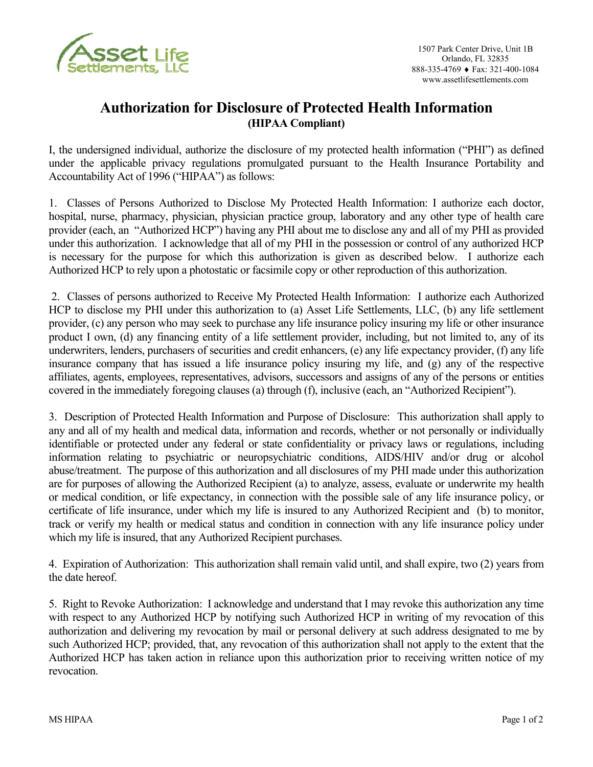

## **Authorization for Disclosure of Protected Health Information (HIPAA Compliant)**

I, the undersigned individual, authorize the disclosure of my protected health information ("PHI") as defined under the applicable privacy regulations promulgated pursuant to the Health Insurance Portability and Accountability Act of 1996 ("HIPAA") as follows:

1. Classes of Persons Authorized to Disclose My Protected Health Information: I authorize each doctor, hospital, nurse, pharmacy, physician, physician practice group, laboratory and any other type of health care provider (each, an "Authorized HCP") having any PHI about me to disclose any and all of my PHI as provided under this authorization. I acknowledge that all of my PHI in the possession or control of any authorized HCP is necessary for the purpose for which this authorization is given as described below. I authorize each Authorized HCP to rely upon a photostatic or facsimile copy or other reproduction of this authorization.

 2. Classes of persons authorized to Receive My Protected Health Information: I authorize each Authorized HCP to disclose my PHI under this authorization to (a) Asset Life Settlements, LLC, (b) any life settlement provider, (c) any person who may seek to purchase any life insurance policy insuring my life or other insurance product I own, (d) any financing entity of a life settlement provider, including, but not limited to, any of its underwriters, lenders, purchasers of securities and credit enhancers, (e) any life expectancy provider, (f) any life insurance company that has issued a life insurance policy insuring my life, and (g) any of the respective affiliates, agents, employees, representatives, advisors, successors and assigns of any of the persons or entities covered in the immediately foregoing clauses (a) through (f), inclusive (each, an "Authorized Recipient").

3. Description of Protected Health Information and Purpose of Disclosure: This authorization shall apply to any and all of my health and medical data, information and records, whether or not personally or individually identifiable or protected under any federal or state confidentiality or privacy laws or regulations, including information relating to psychiatric or neuropsychiatric conditions, AIDS/HIV and/or drug or alcohol abuse/treatment. The purpose of this authorization and all disclosures of my PHI made under this authorization are for purposes of allowing the Authorized Recipient (a) to analyze, assess, evaluate or underwrite my health or medical condition, or life expectancy, in connection with the possible sale of any life insurance policy, or certificate of life insurance, under which my life is insured to any Authorized Recipient and (b) to monitor, track or verify my health or medical status and condition in connection with any life insurance policy under which my life is insured, that any Authorized Recipient purchases.

4. Expiration of Authorization: This authorization shall remain valid until, and shall expire, two (2) years from the date hereof.

5. Right to Revoke Authorization: I acknowledge and understand that I may revoke this authorization any time with respect to any Authorized HCP by notifying such Authorized HCP in writing of my revocation of this authorization and delivering my revocation by mail or personal delivery at such address designated to me by such Authorized HCP; provided, that, any revocation of this authorization shall not apply to the extent that the Authorized HCP has taken action in reliance upon this authorization prior to receiving written notice of my revocation.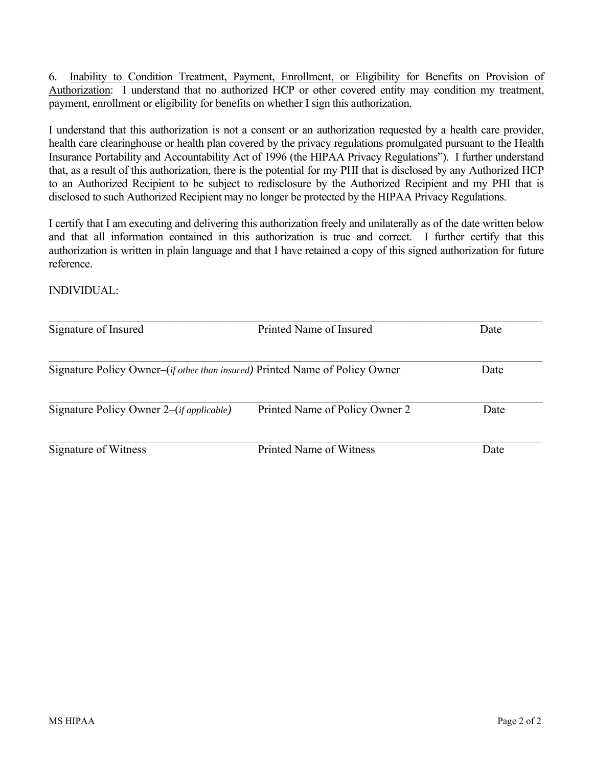6. Inability to Condition Treatment, Payment, Enrollment, or Eligibility for Benefits on Provision of Authorization: I understand that no authorized HCP or other covered entity may condition my treatment, payment, enrollment or eligibility for benefits on whether I sign this authorization.

I understand that this authorization is not a consent or an authorization requested by a health care provider, health care clearinghouse or health plan covered by the privacy regulations promulgated pursuant to the Health Insurance Portability and Accountability Act of 1996 (the HIPAA Privacy Regulations"). I further understand that, as a result of this authorization, there is the potential for my PHI that is disclosed by any Authorized HCP to an Authorized Recipient to be subject to redisclosure by the Authorized Recipient and my PHI that is disclosed to such Authorized Recipient may no longer be protected by the HIPAA Privacy Regulations.

I certify that I am executing and delivering this authorization freely and unilaterally as of the date written below and that all information contained in this authorization is true and correct. I further certify that this authorization is written in plain language and that I have retained a copy of this signed authorization for future reference.

INDIVIDUAL:

| Signature of Insured                                                                 | Printed Name of Insured        | Date |
|--------------------------------------------------------------------------------------|--------------------------------|------|
| Signature Policy Owner–( <i>if other than insured</i> ) Printed Name of Policy Owner | Date                           |      |
|                                                                                      |                                |      |
| Signature Policy Owner 2–( <i>if applicable</i> )                                    | Printed Name of Policy Owner 2 | Date |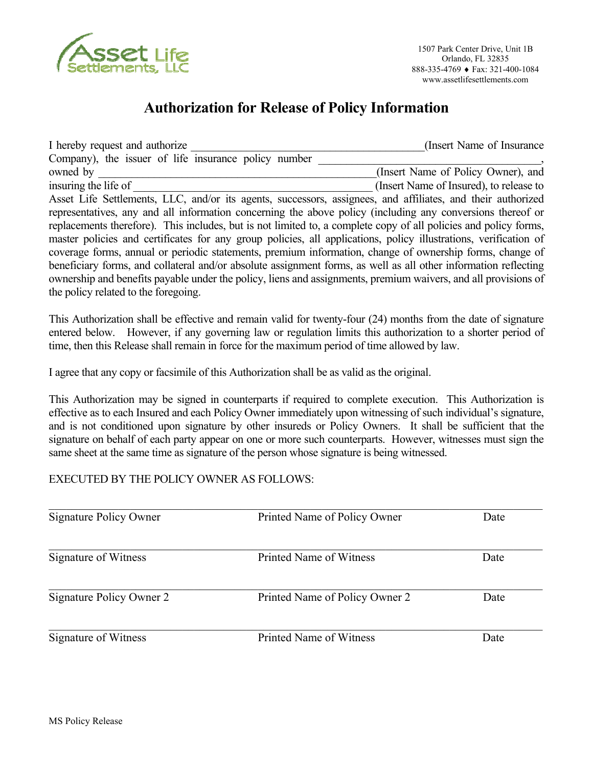

## **Authorization for Release of Policy Information**

I hereby request and authorize **I** hereby request and authorize **I** hereby request and authorize Company), the issuer of life insurance policy number owned by  $(Insert Name of Policy Owner)$ , and insuring the life of  $\Box$  (Insert Name of Insured), to release to Asset Life Settlements, LLC, and/or its agents, successors, assignees, and affiliates, and their authorized representatives, any and all information concerning the above policy (including any conversions thereof or replacements therefore). This includes, but is not limited to, a complete copy of all policies and policy forms, master policies and certificates for any group policies, all applications, policy illustrations, verification of coverage forms, annual or periodic statements, premium information, change of ownership forms, change of beneficiary forms, and collateral and/or absolute assignment forms, as well as all other information reflecting ownership and benefits payable under the policy, liens and assignments, premium waivers, and all provisions of the policy related to the foregoing.

This Authorization shall be effective and remain valid for twenty-four (24) months from the date of signature entered below. However, if any governing law or regulation limits this authorization to a shorter period of time, then this Release shall remain in force for the maximum period of time allowed by law.

I agree that any copy or facsimile of this Authorization shall be as valid as the original.

This Authorization may be signed in counterparts if required to complete execution. This Authorization is effective as to each Insured and each Policy Owner immediately upon witnessing of such individual's signature, and is not conditioned upon signature by other insureds or Policy Owners. It shall be sufficient that the signature on behalf of each party appear on one or more such counterparts. However, witnesses must sign the same sheet at the same time as signature of the person whose signature is being witnessed.

### EXECUTED BY THE POLICY OWNER AS FOLLOWS:

| Signature Policy Owner   | Printed Name of Policy Owner   | Date |  |
|--------------------------|--------------------------------|------|--|
| Signature of Witness     | Printed Name of Witness        | Date |  |
| Signature Policy Owner 2 | Printed Name of Policy Owner 2 | Date |  |
| Signature of Witness     | Printed Name of Witness        | Date |  |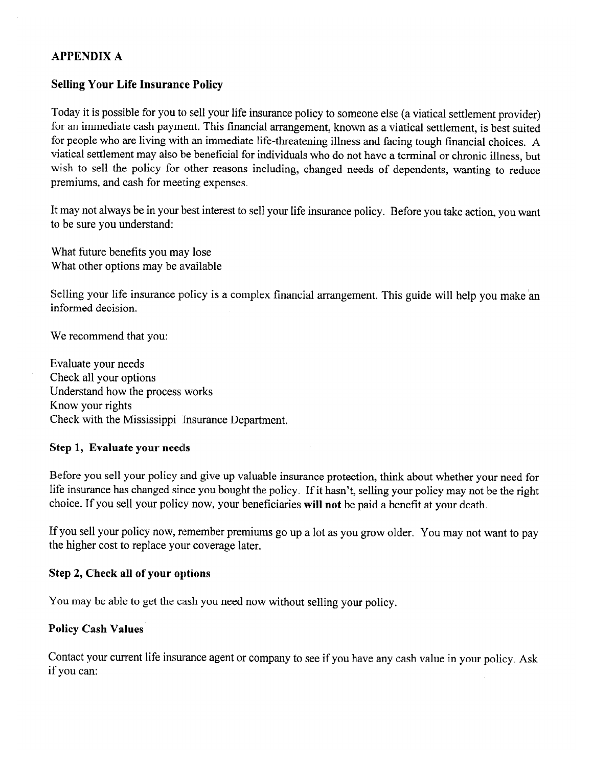## **APPENDIX A**

### **Selling Your Life Insurance Policy**

Today it is possible for you to sell your life insurance policy to someone else (a viatical settlement provider) for an immediate cash payment. This financial arrangement, known as a viatical settlement, is best suited for people who are living with an immediate life-threatening illness and facing tough financial choices. A viatical settlement may also be beneficial for individuals who do not have a terminal or chronic illness, but wish to sell the policy for other reasons including, changed needs of dependents, wanting to reduce premiums, and cash for meeting expenses.

It may not always be in your best interest to sell your life insurance policy. Before you take action, you want to be sure you understand:

What future benefits you may lose What other options may be available

Selling your life insurance policy is a complex financial arrangement. This guide will help you make an informed decision.

We recommend that you:

Evaluate your needs Check all your options Understand how the process works Know your rights Check with the Mississippi Insurance Department.

#### Step 1, Evaluate your needs

Before you sell your policy and give up valuable insurance protection, think about whether your need for life insurance has changed since you bought the policy. If it hasn't, selling your policy may not be the right choice. If you sell your policy now, your beneficiaries will not be paid a benefit at your death.

If you sell your policy now, remember premiums go up a lot as you grow older. You may not want to pay the higher cost to replace your coverage later.

#### Step 2, Check all of your options

You may be able to get the cash you need now without selling your policy.

#### **Policy Cash Values**

Contact your current life insurance agent or company to see if you have any cash value in your policy. Ask if you can: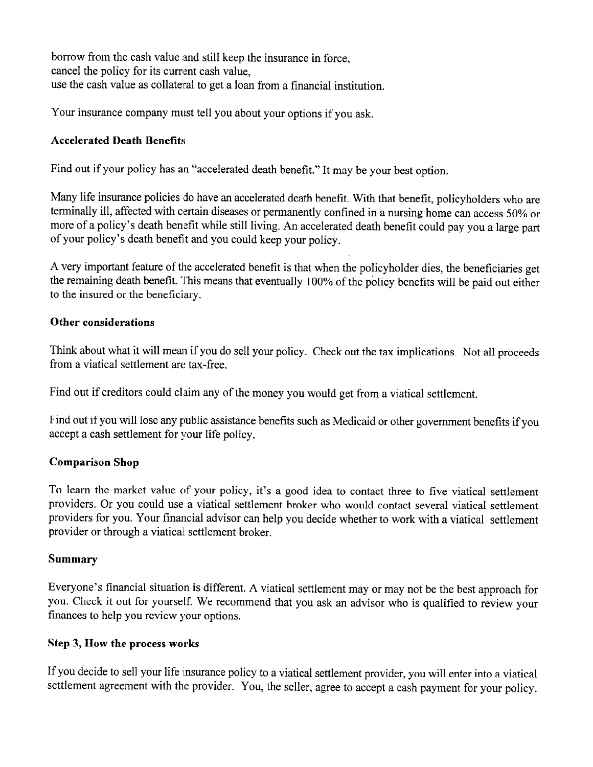borrow from the cash value and still keep the insurance in force, cancel the policy for its current cash value. use the cash value as collateral to get a loan from a financial institution.

Your insurance company must tell you about your options if you ask.

## **Accelerated Death Benefits**

Find out if your policy has an "accelerated death benefit." It may be your best option.

Many life insurance policies do have an accelerated death benefit. With that benefit, policyholders who are terminally ill, affected with certain diseases or permanently confined in a nursing home can access 50% or more of a policy's death benefit while still living. An accelerated death benefit could pay you a large part of your policy's death benefit and you could keep your policy.

A very important feature of the accelerated benefit is that when the policyholder dies, the beneficiaries get the remaining death benefit. This means that eventually 100% of the policy benefits will be paid out either to the insured or the beneficiary.

### Other considerations

Think about what it will mean if you do sell your policy. Check out the tax implications. Not all proceeds from a viatical settlement are tax-free.

Find out if creditors could claim any of the money you would get from a viatical settlement.

Find out if you will lose any public assistance benefits such as Medicaid or other government benefits if you accept a cash settlement for your life policy.

## **Comparison Shop**

To learn the market value of your policy, it's a good idea to contact three to five viatical settlement providers. Or you could use a viatical settlement broker who would contact several viatical settlement providers for you. Your financial advisor can help you decide whether to work with a viatical settlement provider or through a viatical settlement broker.

## **Summary**

Everyone's financial situation is different. A viatical settlement may or may not be the best approach for you. Check it out for yourself. We recommend that you ask an advisor who is qualified to review your finances to help you review your options.

## Step 3, How the process works

If you decide to sell your life insurance policy to a viatical settlement provider, you will enter into a viatical settlement agreement with the provider. You, the seller, agree to accept a cash payment for your policy.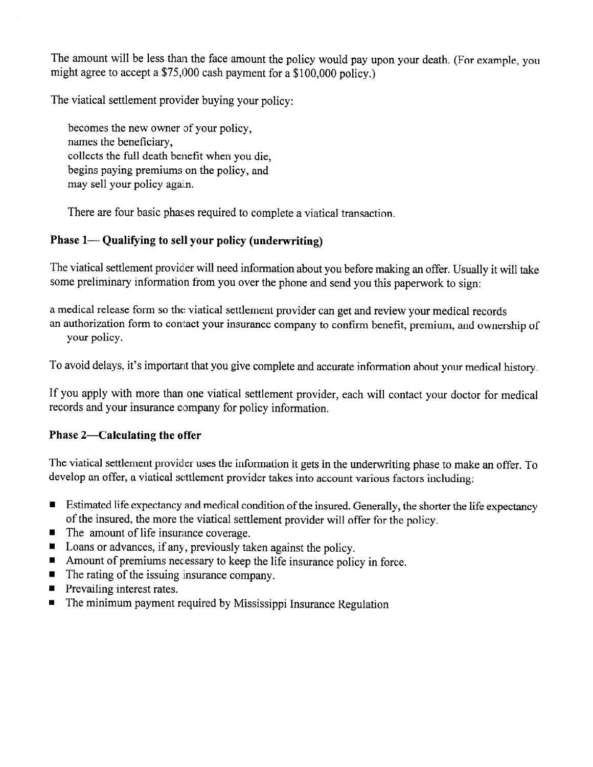The amount will be less than the face amount the policy would pay upon your death. (For example, you might agree to accept a \$75,000 cash payment for a \$100,000 policy.)

The viatical settlement provider buying your policy:

becomes the new owner of your policy, names the beneficiary, collects the full death benefit when you die, begins paying premiums on the policy, and may sell your policy again.

There are four basic phases required to complete a viatical transaction.

## Phase 1— Qualifying to sell your policy (underwriting)

The viatical settlement provider will need information about you before making an offer. Usually it will take some preliminary information from you over the phone and send you this paperwork to sign:

a medical release form so the viatical settlement provider can get and review your medical records an authorization form to contact your insurance company to confirm benefit, premium, and ownership of your policy.

To avoid delays, it's important that you give complete and accurate information about your medical history.

If you apply with more than one viatical settlement provider, each will contact your doctor for medical records and your insurance company for policy information.

## Phase 2-Calculating the offer

The viatical settlement provider uses the information it gets in the underwriting phase to make an offer. To develop an offer, a viatical settlement provider takes into account various factors including:

- Estimated life expectancy and medical condition of the insured. Generally, the shorter the life expectancy of the insured, the more the viatical settlement provider will offer for the policy.
- $\blacksquare$ The amount of life insurance coverage.
- Loans or advances, if any, previously taken against the policy.  $\blacksquare$
- Amount of premiums necessary to keep the life insurance policy in force.  $\blacksquare$
- The rating of the issuing insurance company.  $\blacksquare$
- $\blacksquare$  Prevailing interest rates.
- The minimum payment required by Mississippi Insurance Regulation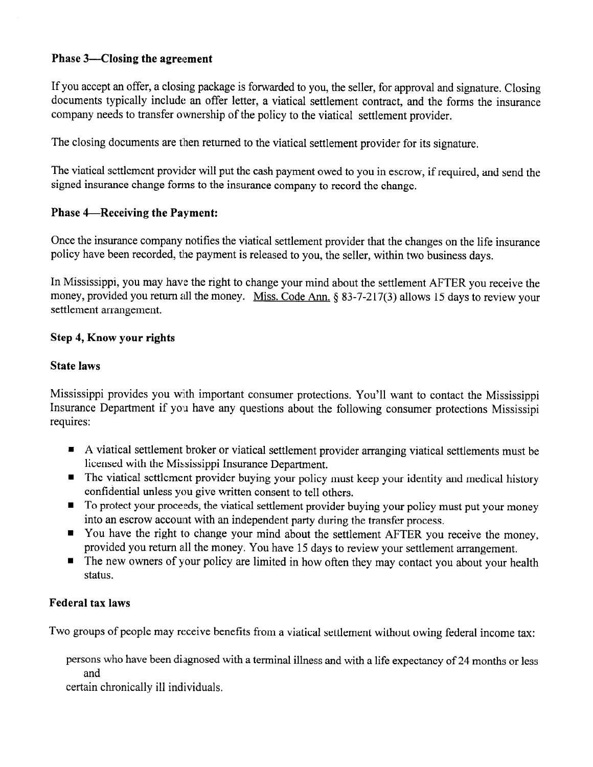## Phase 3—Closing the agreement

If you accept an offer, a closing package is forwarded to you, the seller, for approval and signature. Closing documents typically include an offer letter, a viatical settlement contract, and the forms the insurance company needs to transfer ownership of the policy to the viatical settlement provider.

The closing documents are then returned to the viatical settlement provider for its signature.

The viatical settlement provider will put the cash payment owed to you in escrow, if required, and send the signed insurance change forms to the insurance company to record the change.

## **Phase 4—Receiving the Payment:**

Once the insurance company notifies the viatical settlement provider that the changes on the life insurance policy have been recorded, the payment is released to you, the seller, within two business days.

In Mississippi, you may have the right to change your mind about the settlement AFTER you receive the money, provided you return all the money. Miss. Code Ann. § 83-7-217(3) allows 15 days to review your settlement arrangement.

## **Step 4, Know your rights**

### **State laws**

Mississippi provides you with important consumer protections. You'll want to contact the Mississippi Insurance Department if you have any questions about the following consumer protections Mississipi requires:

- A viatical settlement broker or viatical settlement provider arranging viatical settlements must be licensed with the Mississippi Insurance Department.
- The viatical settlement provider buying your policy must keep your identity and medical history confidential unless you give written consent to tell others.
- To protect your proceeds, the viatical settlement provider buying your policy must put your money into an escrow account with an independent party during the transfer process.
- You have the right to change your mind about the settlement AFTER you receive the money, provided you return all the money. You have 15 days to review your settlement arrangement.
- The new owners of your policy are limited in how often they may contact you about your health status.

### **Federal tax laws**

Two groups of people may receive benefits from a viatical settlement without owing federal income tax:

persons who have been diagnosed with a terminal illness and with a life expectancy of 24 months or less and

certain chronically ill individuals.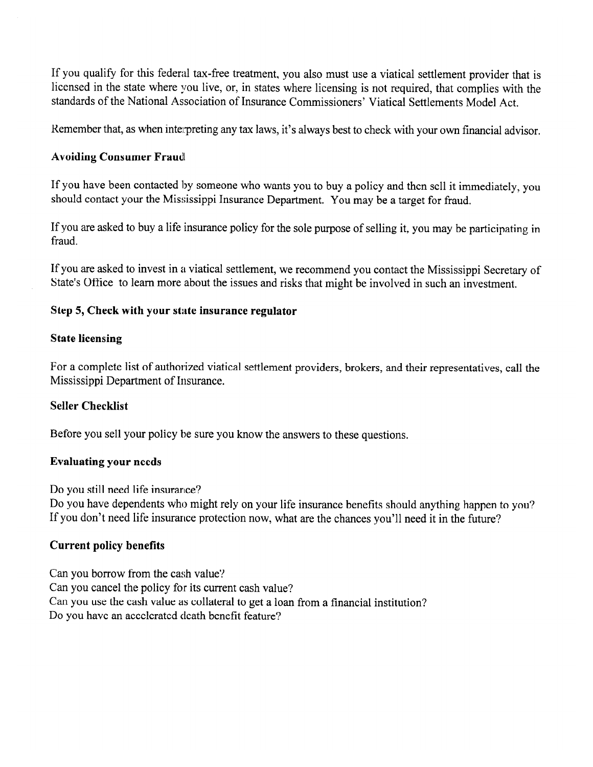If you qualify for this federal tax-free treatment, you also must use a viatical settlement provider that is licensed in the state where you live, or, in states where licensing is not required, that complies with the standards of the National Association of Insurance Commissioners' Viatical Settlements Model Act.

Remember that, as when interpreting any tax laws, it's always best to check with your own financial advisor.

#### **Avoiding Consumer Fraud**

If you have been contacted by someone who wants you to buy a policy and then sell it immediately, you should contact your the Mississippi Insurance Department. You may be a target for fraud.

If you are asked to buy a life insurance policy for the sole purpose of selling it, you may be participating in fraud.

If you are asked to invest in a viatical settlement, we recommend you contact the Mississippi Secretary of State's Office to learn more about the issues and risks that might be involved in such an investment.

#### Step 5, Check with your state insurance regulator

#### **State licensing**

For a complete list of authorized viatical settlement providers, brokers, and their representatives, call the Mississippi Department of Insurance.

#### **Seller Checklist**

Before you sell your policy be sure you know the answers to these questions.

#### **Evaluating your needs**

Do you still need life insurance?

Do you have dependents who might rely on your life insurance benefits should anything happen to you? If you don't need life insurance protection now, what are the chances you'll need it in the future?

### **Current policy benefits**

Can you borrow from the cash value? Can you cancel the policy for its current cash value? Can you use the cash value as collateral to get a loan from a financial institution? Do you have an accelerated death benefit feature?